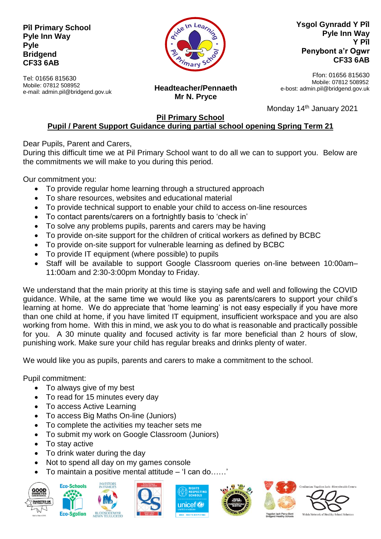## **Pîl Primary School Pyle Inn Way Pyle Bridgend CF33 6AB**

In Lea

**Ysgol Gynradd Y Pîl Pyle Inn Way Y Pîl Penybont a'r Ogwr CF33 6AB**

Tel: 01656 815630 Mobile: 07812 508952 e-mail: admin.pil@bridgend.gov.uk

**Headteacher/Pennaeth Mr N. Pryce**

Ffon: 01656 815630 Mobile: 07812 508952 e-bost: admin.pil@bridgend.gov.uk

Monday 14<sup>th</sup> January 2021

## **Pil Primary School Pupil / Parent Support Guidance during partial school opening Spring Term 21**

Dear Pupils, Parent and Carers,

During this difficult time we at Pil Primary School want to do all we can to support you. Below are the commitments we will make to you during this period.

Our commitment you:

- To provide regular home learning through a structured approach
- To share resources, websites and educational material
- To provide technical support to enable your child to access on-line resources
- To contact parents/carers on a fortnightly basis to 'check in'
- To solve any problems pupils, parents and carers may be having
- To provide on-site support for the children of critical workers as defined by BCBC
- To provide on-site support for vulnerable learning as defined by BCBC
- To provide IT equipment (where possible) to pupils
- Staff will be available to support Google Classroom queries on-line between 10:00am– 11:00am and 2:30-3:00pm Monday to Friday.

We understand that the main priority at this time is staying safe and well and following the COVID guidance. While, at the same time we would like you as parents/carers to support your child's learning at home. We do appreciate that 'home learning' is not easy especially if you have more than one child at home, if you have limited IT equipment, insufficient workspace and you are also working from home. With this in mind, we ask you to do what is reasonable and practically possible for you. A 30 minute quality and focused activity is far more beneficial than 2 hours of slow, punishing work. Make sure your child has regular breaks and drinks plenty of water.

We would like you as pupils, parents and carers to make a commitment to the school.

Pupil commitment:

- To always give of my best
- To read for 15 minutes every day
- To access Active Learning
- To access Big Maths On-line (Juniors)
- To complete the activities my teacher sets me
- To submit my work on Google Classroom (Juniors)
- To stay active
- To drink water during the day
- Not to spend all day on my games console
- To maintain a positive mental attitude 'I can do……'